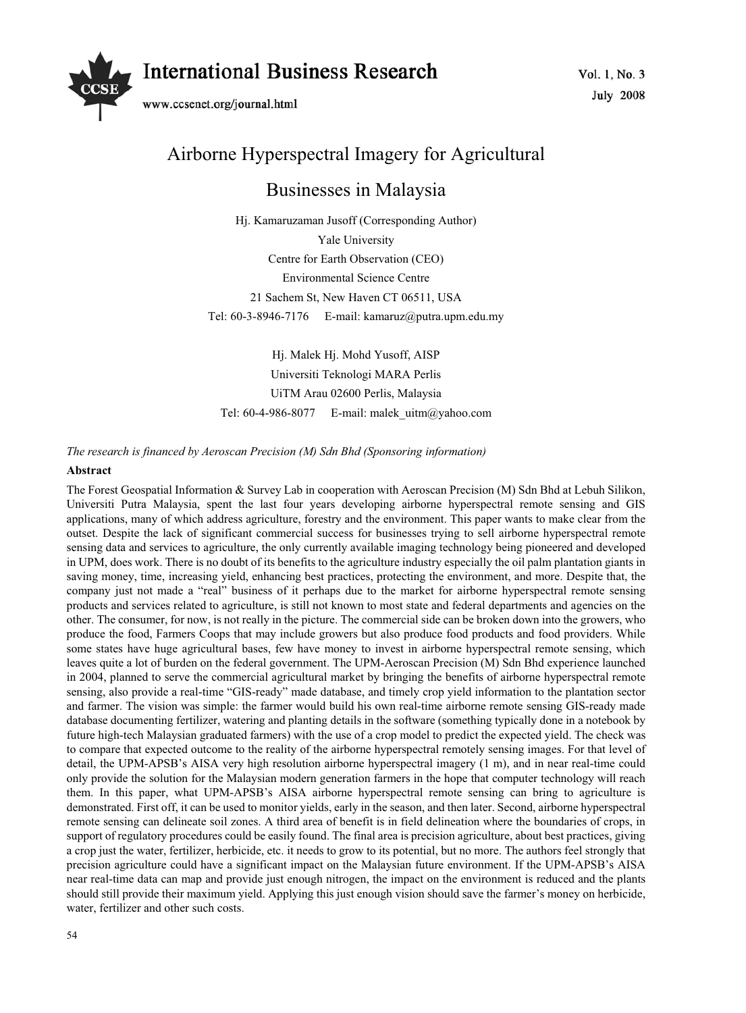

# Airborne Hyperspectral Imagery for Agricultural

Businesses in Malaysia

Hj. Kamaruzaman Jusoff (Corresponding Author) Yale University Centre for Earth Observation (CEO) Environmental Science Centre 21 Sachem St, New Haven CT 06511, USA

Tel: 60-3-8946-7176 E-mail: kamaruz@putra.upm.edu.my

Hj. Malek Hj. Mohd Yusoff, AISP Universiti Teknologi MARA Perlis UiTM Arau 02600 Perlis, Malaysia Tel: 60-4-986-8077 E-mail: malek\_uitm@yahoo.com

*The research is financed by Aeroscan Precision (M) Sdn Bhd (Sponsoring information)* 

## **Abstract**

The Forest Geospatial Information & Survey Lab in cooperation with Aeroscan Precision (M) Sdn Bhd at Lebuh Silikon, Universiti Putra Malaysia, spent the last four years developing airborne hyperspectral remote sensing and GIS applications, many of which address agriculture, forestry and the environment. This paper wants to make clear from the outset. Despite the lack of significant commercial success for businesses trying to sell airborne hyperspectral remote sensing data and services to agriculture, the only currently available imaging technology being pioneered and developed in UPM, does work. There is no doubt of its benefits to the agriculture industry especially the oil palm plantation giants in saving money, time, increasing yield, enhancing best practices, protecting the environment, and more. Despite that, the company just not made a "real" business of it perhaps due to the market for airborne hyperspectral remote sensing products and services related to agriculture, is still not known to most state and federal departments and agencies on the other. The consumer, for now, is not really in the picture. The commercial side can be broken down into the growers, who produce the food, Farmers Coops that may include growers but also produce food products and food providers. While some states have huge agricultural bases, few have money to invest in airborne hyperspectral remote sensing, which leaves quite a lot of burden on the federal government. The UPM-Aeroscan Precision (M) Sdn Bhd experience launched in 2004, planned to serve the commercial agricultural market by bringing the benefits of airborne hyperspectral remote sensing, also provide a real-time "GIS-ready" made database, and timely crop yield information to the plantation sector and farmer. The vision was simple: the farmer would build his own real-time airborne remote sensing GIS-ready made database documenting fertilizer, watering and planting details in the software (something typically done in a notebook by future high-tech Malaysian graduated farmers) with the use of a crop model to predict the expected yield. The check was to compare that expected outcome to the reality of the airborne hyperspectral remotely sensing images. For that level of detail, the UPM-APSB's AISA very high resolution airborne hyperspectral imagery (1 m), and in near real-time could only provide the solution for the Malaysian modern generation farmers in the hope that computer technology will reach them. In this paper, what UPM-APSB's AISA airborne hyperspectral remote sensing can bring to agriculture is demonstrated. First off, it can be used to monitor yields, early in the season, and then later. Second, airborne hyperspectral remote sensing can delineate soil zones. A third area of benefit is in field delineation where the boundaries of crops, in support of regulatory procedures could be easily found. The final area is precision agriculture, about best practices, giving a crop just the water, fertilizer, herbicide, etc. it needs to grow to its potential, but no more. The authors feel strongly that precision agriculture could have a significant impact on the Malaysian future environment. If the UPM-APSB's AISA near real-time data can map and provide just enough nitrogen, the impact on the environment is reduced and the plants should still provide their maximum yield. Applying this just enough vision should save the farmer's money on herbicide, water, fertilizer and other such costs.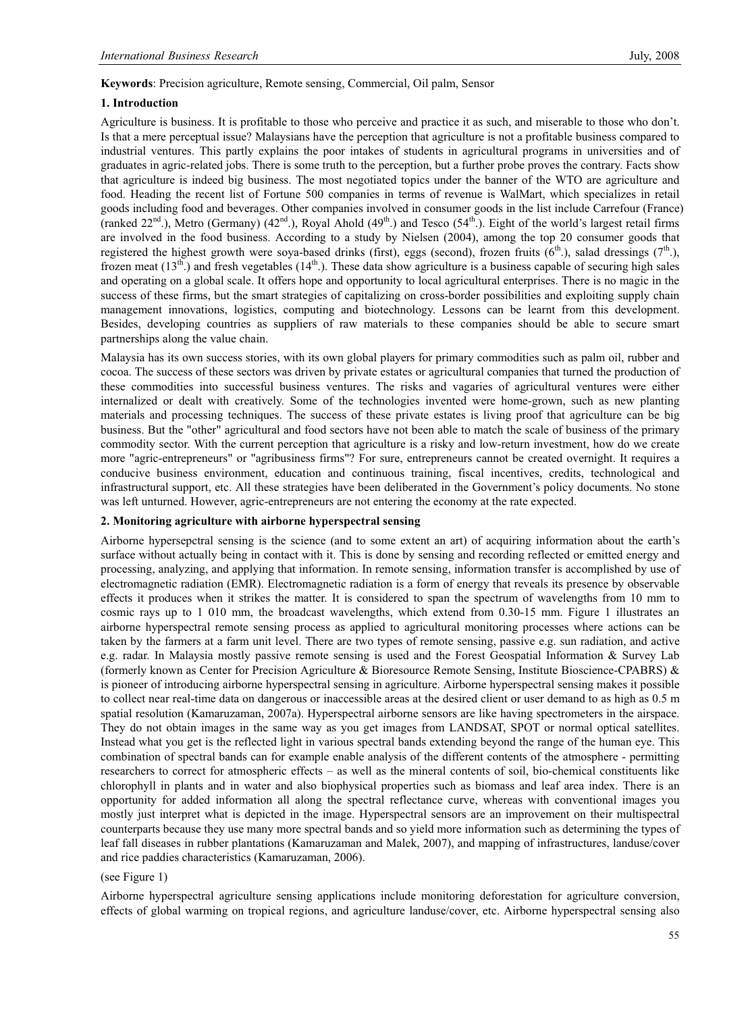#### **Keywords**: Precision agriculture, Remote sensing, Commercial, Oil palm, Sensor

#### **1. Introduction**

Agriculture is business. It is profitable to those who perceive and practice it as such, and miserable to those who don't. Is that a mere perceptual issue? Malaysians have the perception that agriculture is not a profitable business compared to industrial ventures. This partly explains the poor intakes of students in agricultural programs in universities and of graduates in agric-related jobs. There is some truth to the perception, but a further probe proves the contrary. Facts show that agriculture is indeed big business. The most negotiated topics under the banner of the WTO are agriculture and food. Heading the recent list of Fortune 500 companies in terms of revenue is WalMart, which specializes in retail goods including food and beverages. Other companies involved in consumer goods in the list include Carrefour (France) (ranked  $22^{nd}$ .), Metro (Germany)  $(42^{nd})$ , Royal Ahold  $(49^{th})$  and Tesco  $(54^{th})$ . Eight of the world's largest retail firms are involved in the food business. According to a study by Nielsen (2004), among the top 20 consumer goods that registered the highest growth were soya-based drinks (first), eggs (second), frozen fruits ( $6<sup>th</sup>$ ), salad dressings ( $7<sup>th</sup>$ ), frozen meat  $(13<sup>th</sup>)$  and fresh vegetables  $(14<sup>th</sup>)$ . These data show agriculture is a business capable of securing high sales and operating on a global scale. It offers hope and opportunity to local agricultural enterprises. There is no magic in the success of these firms, but the smart strategies of capitalizing on cross-border possibilities and exploiting supply chain management innovations, logistics, computing and biotechnology. Lessons can be learnt from this development. Besides, developing countries as suppliers of raw materials to these companies should be able to secure smart partnerships along the value chain.

Malaysia has its own success stories, with its own global players for primary commodities such as palm oil, rubber and cocoa. The success of these sectors was driven by private estates or agricultural companies that turned the production of these commodities into successful business ventures. The risks and vagaries of agricultural ventures were either internalized or dealt with creatively. Some of the technologies invented were home-grown, such as new planting materials and processing techniques. The success of these private estates is living proof that agriculture can be big business. But the "other" agricultural and food sectors have not been able to match the scale of business of the primary commodity sector. With the current perception that agriculture is a risky and low-return investment, how do we create more "agric-entrepreneurs" or "agribusiness firms"? For sure, entrepreneurs cannot be created overnight. It requires a conducive business environment, education and continuous training, fiscal incentives, credits, technological and infrastructural support, etc. All these strategies have been deliberated in the Government's policy documents. No stone was left unturned. However, agric-entrepreneurs are not entering the economy at the rate expected.

#### **2. Monitoring agriculture with airborne hyperspectral sensing**

Airborne hypersepctral sensing is the science (and to some extent an art) of acquiring information about the earth's surface without actually being in contact with it. This is done by sensing and recording reflected or emitted energy and processing, analyzing, and applying that information. In remote sensing, information transfer is accomplished by use of electromagnetic radiation (EMR). Electromagnetic radiation is a form of energy that reveals its presence by observable effects it produces when it strikes the matter. It is considered to span the spectrum of wavelengths from 10 mm to cosmic rays up to 1 010 mm, the broadcast wavelengths, which extend from 0.30-15 mm. Figure 1 illustrates an airborne hyperspectral remote sensing process as applied to agricultural monitoring processes where actions can be taken by the farmers at a farm unit level. There are two types of remote sensing, passive e.g. sun radiation, and active e.g. radar. In Malaysia mostly passive remote sensing is used and the Forest Geospatial Information & Survey Lab (formerly known as Center for Precision Agriculture & Bioresource Remote Sensing, Institute Bioscience-CPABRS) & is pioneer of introducing airborne hyperspectral sensing in agriculture. Airborne hyperspectral sensing makes it possible to collect near real-time data on dangerous or inaccessible areas at the desired client or user demand to as high as 0.5 m spatial resolution (Kamaruzaman, 2007a). Hyperspectral airborne sensors are like having spectrometers in the airspace. They do not obtain images in the same way as you get images from LANDSAT, SPOT or normal optical satellites. Instead what you get is the reflected light in various spectral bands extending beyond the range of the human eye. This combination of spectral bands can for example enable analysis of the different contents of the atmosphere - permitting researchers to correct for atmospheric effects – as well as the mineral contents of soil, bio-chemical constituents like chlorophyll in plants and in water and also biophysical properties such as biomass and leaf area index. There is an opportunity for added information all along the spectral reflectance curve, whereas with conventional images you mostly just interpret what is depicted in the image. Hyperspectral sensors are an improvement on their multispectral counterparts because they use many more spectral bands and so yield more information such as determining the types of leaf fall diseases in rubber plantations (Kamaruzaman and Malek, 2007), and mapping of infrastructures, landuse/cover and rice paddies characteristics (Kamaruzaman, 2006).

### (see Figure 1)

Airborne hyperspectral agriculture sensing applications include monitoring deforestation for agriculture conversion, effects of global warming on tropical regions, and agriculture landuse/cover, etc. Airborne hyperspectral sensing also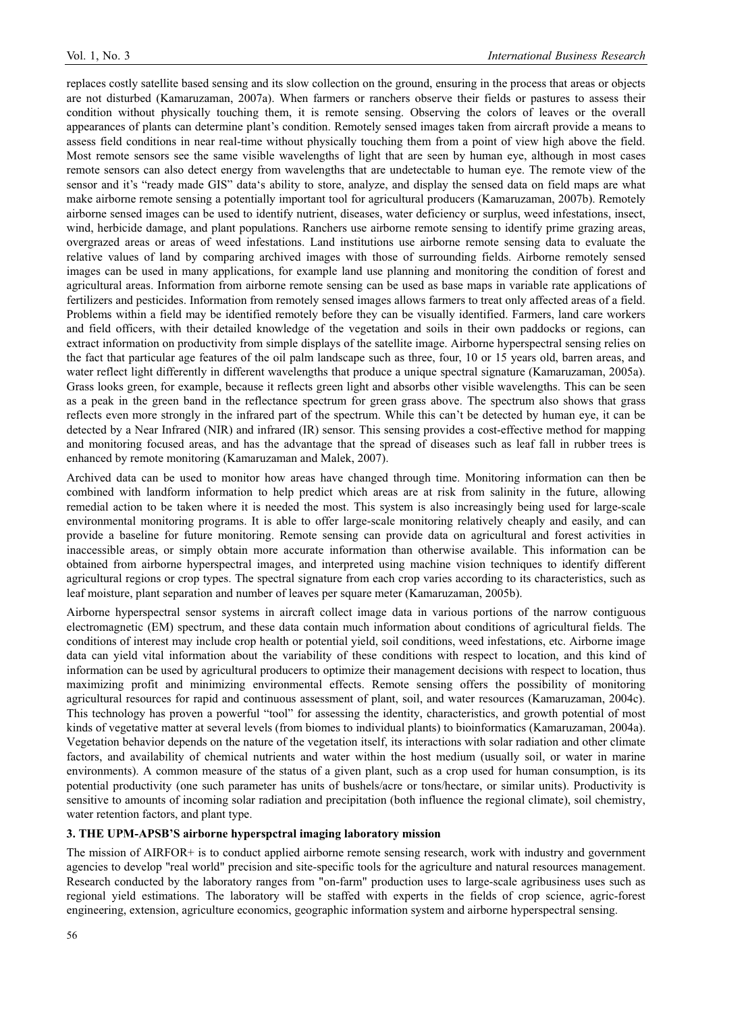replaces costly satellite based sensing and its slow collection on the ground, ensuring in the process that areas or objects are not disturbed (Kamaruzaman, 2007a). When farmers or ranchers observe their fields or pastures to assess their condition without physically touching them, it is remote sensing. Observing the colors of leaves or the overall appearances of plants can determine plant's condition. Remotely sensed images taken from aircraft provide a means to assess field conditions in near real-time without physically touching them from a point of view high above the field. Most remote sensors see the same visible wavelengths of light that are seen by human eye, although in most cases remote sensors can also detect energy from wavelengths that are undetectable to human eye. The remote view of the sensor and it's "ready made GIS" data's ability to store, analyze, and display the sensed data on field maps are what make airborne remote sensing a potentially important tool for agricultural producers (Kamaruzaman, 2007b). Remotely airborne sensed images can be used to identify nutrient, diseases, water deficiency or surplus, weed infestations, insect, wind, herbicide damage, and plant populations. Ranchers use airborne remote sensing to identify prime grazing areas, overgrazed areas or areas of weed infestations. Land institutions use airborne remote sensing data to evaluate the relative values of land by comparing archived images with those of surrounding fields. Airborne remotely sensed images can be used in many applications, for example land use planning and monitoring the condition of forest and agricultural areas. Information from airborne remote sensing can be used as base maps in variable rate applications of fertilizers and pesticides. Information from remotely sensed images allows farmers to treat only affected areas of a field. Problems within a field may be identified remotely before they can be visually identified. Farmers, land care workers and field officers, with their detailed knowledge of the vegetation and soils in their own paddocks or regions, can extract information on productivity from simple displays of the satellite image. Airborne hyperspectral sensing relies on the fact that particular age features of the oil palm landscape such as three, four, 10 or 15 years old, barren areas, and water reflect light differently in different wavelengths that produce a unique spectral signature (Kamaruzaman, 2005a). Grass looks green, for example, because it reflects green light and absorbs other visible wavelengths. This can be seen as a peak in the green band in the reflectance spectrum for green grass above. The spectrum also shows that grass reflects even more strongly in the infrared part of the spectrum. While this can't be detected by human eye, it can be detected by a Near Infrared (NIR) and infrared (IR) sensor. This sensing provides a cost-effective method for mapping and monitoring focused areas, and has the advantage that the spread of diseases such as leaf fall in rubber trees is enhanced by remote monitoring (Kamaruzaman and Malek, 2007).

Archived data can be used to monitor how areas have changed through time. Monitoring information can then be combined with landform information to help predict which areas are at risk from salinity in the future, allowing remedial action to be taken where it is needed the most. This system is also increasingly being used for large-scale environmental monitoring programs. It is able to offer large-scale monitoring relatively cheaply and easily, and can provide a baseline for future monitoring. Remote sensing can provide data on agricultural and forest activities in inaccessible areas, or simply obtain more accurate information than otherwise available. This information can be obtained from airborne hyperspectral images, and interpreted using machine vision techniques to identify different agricultural regions or crop types. The spectral signature from each crop varies according to its characteristics, such as leaf moisture, plant separation and number of leaves per square meter (Kamaruzaman, 2005b).

Airborne hyperspectral sensor systems in aircraft collect image data in various portions of the narrow contiguous electromagnetic (EM) spectrum, and these data contain much information about conditions of agricultural fields. The conditions of interest may include crop health or potential yield, soil conditions, weed infestations, etc. Airborne image data can yield vital information about the variability of these conditions with respect to location, and this kind of information can be used by agricultural producers to optimize their management decisions with respect to location, thus maximizing profit and minimizing environmental effects. Remote sensing offers the possibility of monitoring agricultural resources for rapid and continuous assessment of plant, soil, and water resources (Kamaruzaman, 2004c). This technology has proven a powerful "tool" for assessing the identity, characteristics, and growth potential of most kinds of vegetative matter at several levels (from biomes to individual plants) to bioinformatics (Kamaruzaman, 2004a). Vegetation behavior depends on the nature of the vegetation itself, its interactions with solar radiation and other climate factors, and availability of chemical nutrients and water within the host medium (usually soil, or water in marine environments). A common measure of the status of a given plant, such as a crop used for human consumption, is its potential productivity (one such parameter has units of bushels/acre or tons/hectare, or similar units). Productivity is sensitive to amounts of incoming solar radiation and precipitation (both influence the regional climate), soil chemistry, water retention factors, and plant type.

#### **3. THE UPM-APSB'S airborne hyperspctral imaging laboratory mission**

The mission of AIRFOR+ is to conduct applied airborne remote sensing research, work with industry and government agencies to develop "real world" precision and site-specific tools for the agriculture and natural resources management. Research conducted by the laboratory ranges from "on-farm" production uses to large-scale agribusiness uses such as regional yield estimations. The laboratory will be staffed with experts in the fields of crop science, agric-forest engineering, extension, agriculture economics, geographic information system and airborne hyperspectral sensing.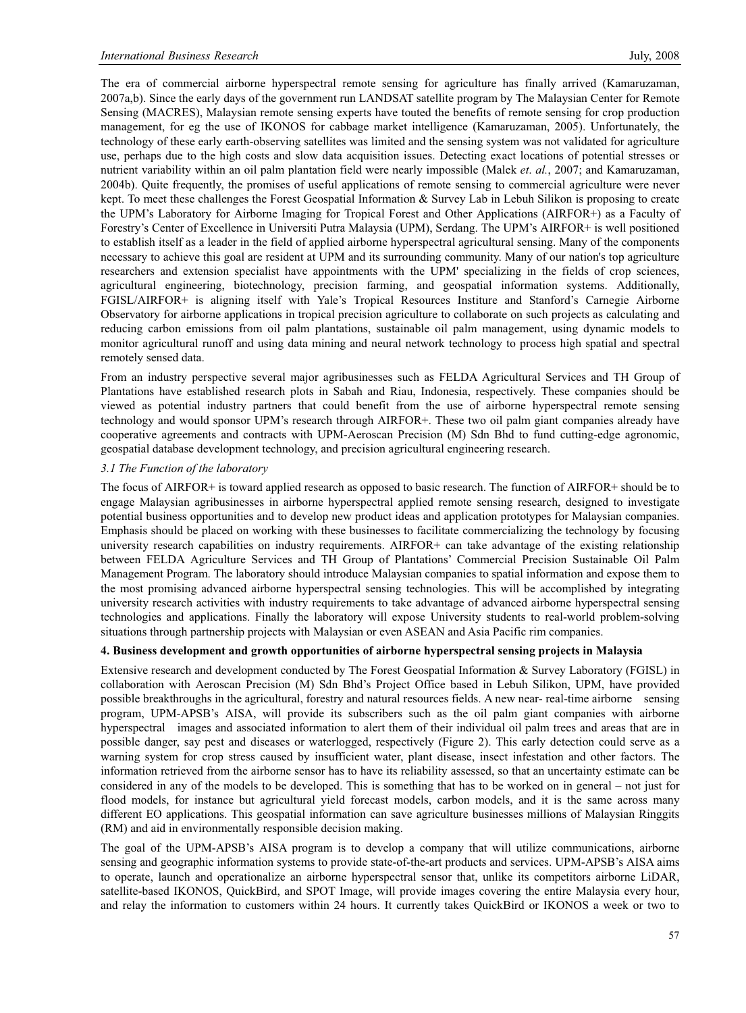The era of commercial airborne hyperspectral remote sensing for agriculture has finally arrived (Kamaruzaman, 2007a,b). Since the early days of the government run LANDSAT satellite program by The Malaysian Center for Remote Sensing (MACRES), Malaysian remote sensing experts have touted the benefits of remote sensing for crop production management, for eg the use of IKONOS for cabbage market intelligence (Kamaruzaman, 2005). Unfortunately, the technology of these early earth-observing satellites was limited and the sensing system was not validated for agriculture use, perhaps due to the high costs and slow data acquisition issues. Detecting exact locations of potential stresses or nutrient variability within an oil palm plantation field were nearly impossible (Malek *et*. *al.*, 2007; and Kamaruzaman, 2004b). Quite frequently, the promises of useful applications of remote sensing to commercial agriculture were never kept. To meet these challenges the Forest Geospatial Information & Survey Lab in Lebuh Silikon is proposing to create the UPM's Laboratory for Airborne Imaging for Tropical Forest and Other Applications (AIRFOR+) as a Faculty of Forestry's Center of Excellence in Universiti Putra Malaysia (UPM), Serdang. The UPM's AIRFOR+ is well positioned to establish itself as a leader in the field of applied airborne hyperspectral agricultural sensing. Many of the components necessary to achieve this goal are resident at UPM and its surrounding community. Many of our nation's top agriculture researchers and extension specialist have appointments with the UPM' specializing in the fields of crop sciences, agricultural engineering, biotechnology, precision farming, and geospatial information systems. Additionally, FGISL/AIRFOR+ is aligning itself with Yale's Tropical Resources Institure and Stanford's Carnegie Airborne Observatory for airborne applications in tropical precision agriculture to collaborate on such projects as calculating and reducing carbon emissions from oil palm plantations, sustainable oil palm management, using dynamic models to monitor agricultural runoff and using data mining and neural network technology to process high spatial and spectral remotely sensed data.

From an industry perspective several major agribusinesses such as FELDA Agricultural Services and TH Group of Plantations have established research plots in Sabah and Riau, Indonesia, respectively. These companies should be viewed as potential industry partners that could benefit from the use of airborne hyperspectral remote sensing technology and would sponsor UPM's research through AIRFOR+. These two oil palm giant companies already have cooperative agreements and contracts with UPM-Aeroscan Precision (M) Sdn Bhd to fund cutting-edge agronomic, geospatial database development technology, and precision agricultural engineering research.

#### *3.1 The Function of the laboratory*

The focus of AIRFOR+ is toward applied research as opposed to basic research. The function of AIRFOR+ should be to engage Malaysian agribusinesses in airborne hyperspectral applied remote sensing research, designed to investigate potential business opportunities and to develop new product ideas and application prototypes for Malaysian companies. Emphasis should be placed on working with these businesses to facilitate commercializing the technology by focusing university research capabilities on industry requirements. AIRFOR+ can take advantage of the existing relationship between FELDA Agriculture Services and TH Group of Plantations' Commercial Precision Sustainable Oil Palm Management Program. The laboratory should introduce Malaysian companies to spatial information and expose them to the most promising advanced airborne hyperspectral sensing technologies. This will be accomplished by integrating university research activities with industry requirements to take advantage of advanced airborne hyperspectral sensing technologies and applications. Finally the laboratory will expose University students to real-world problem-solving situations through partnership projects with Malaysian or even ASEAN and Asia Pacific rim companies.

#### **4. Business development and growth opportunities of airborne hyperspectral sensing projects in Malaysia**

Extensive research and development conducted by The Forest Geospatial Information & Survey Laboratory (FGISL) in collaboration with Aeroscan Precision (M) Sdn Bhd's Project Office based in Lebuh Silikon, UPM, have provided possible breakthroughs in the agricultural, forestry and natural resources fields. A new near- real-time airborne sensing program, UPM-APSB's AISA, will provide its subscribers such as the oil palm giant companies with airborne hyperspectral images and associated information to alert them of their individual oil palm trees and areas that are in possible danger, say pest and diseases or waterlogged, respectively (Figure 2). This early detection could serve as a warning system for crop stress caused by insufficient water, plant disease, insect infestation and other factors. The information retrieved from the airborne sensor has to have its reliability assessed, so that an uncertainty estimate can be considered in any of the models to be developed. This is something that has to be worked on in general – not just for flood models, for instance but agricultural yield forecast models, carbon models, and it is the same across many different EO applications. This geospatial information can save agriculture businesses millions of Malaysian Ringgits (RM) and aid in environmentally responsible decision making.

The goal of the UPM-APSB's AISA program is to develop a company that will utilize communications, airborne sensing and geographic information systems to provide state-of-the-art products and services. UPM-APSB's AISA aims to operate, launch and operationalize an airborne hyperspectral sensor that, unlike its competitors airborne LiDAR, satellite-based IKONOS, QuickBird, and SPOT Image, will provide images covering the entire Malaysia every hour, and relay the information to customers within 24 hours. It currently takes QuickBird or IKONOS a week or two to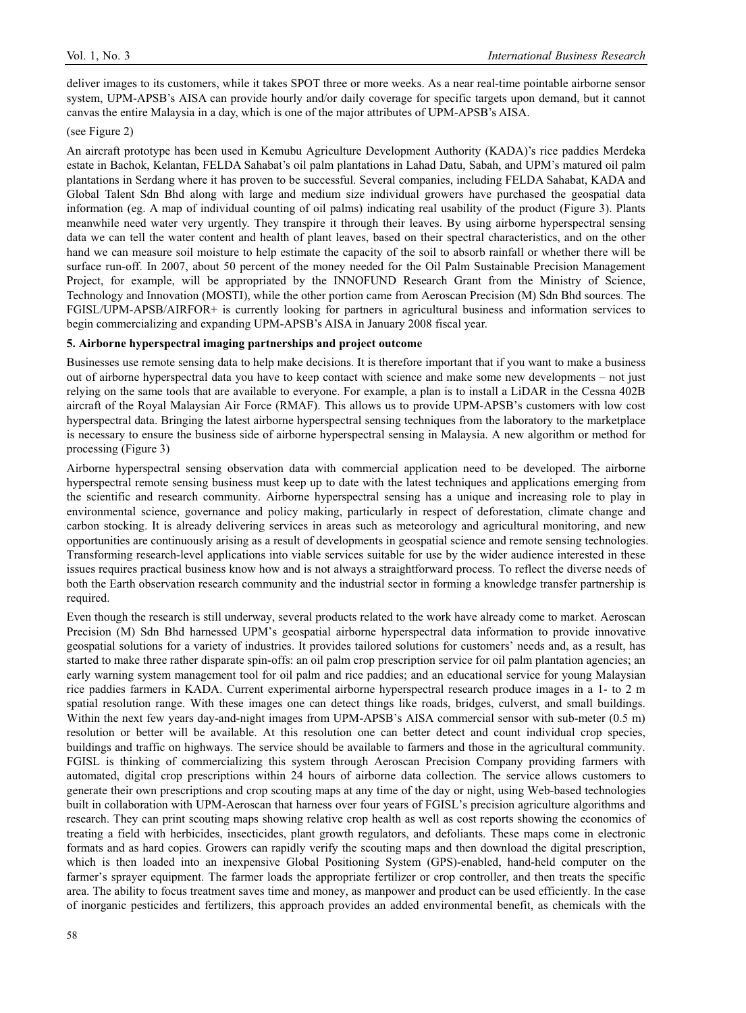deliver images to its customers, while it takes SPOT three or more weeks. As a near real-time pointable airborne sensor system, UPM-APSB's AISA can provide hourly and/or daily coverage for specific targets upon demand, but it cannot canvas the entire Malaysia in a day, which is one of the major attributes of UPM-APSB's AISA.

#### (see Figure 2)

An aircraft prototype has been used in Kemubu Agriculture Development Authority (KADA)'s rice paddies Merdeka estate in Bachok, Kelantan, FELDA Sahabat's oil palm plantations in Lahad Datu, Sabah, and UPM's matured oil palm plantations in Serdang where it has proven to be successful. Several companies, including FELDA Sahabat, KADA and Global Talent Sdn Bhd along with large and medium size individual growers have purchased the geospatial data information (eg. A map of individual counting of oil palms) indicating real usability of the product (Figure 3). Plants meanwhile need water very urgently. They transpire it through their leaves. By using airborne hyperspectral sensing data we can tell the water content and health of plant leaves, based on their spectral characteristics, and on the other hand we can measure soil moisture to help estimate the capacity of the soil to absorb rainfall or whether there will be surface run-off. In 2007, about 50 percent of the money needed for the Oil Palm Sustainable Precision Management Project, for example, will be appropriated by the INNOFUND Research Grant from the Ministry of Science, Technology and Innovation (MOSTI), while the other portion came from Aeroscan Precision (M) Sdn Bhd sources. The FGISL/UPM-APSB/AIRFOR+ is currently looking for partners in agricultural business and information services to begin commercializing and expanding UPM-APSB's AISA in January 2008 fiscal year.

#### **5. Airborne hyperspectral imaging partnerships and project outcome**

Businesses use remote sensing data to help make decisions. It is therefore important that if you want to make a business out of airborne hyperspectral data you have to keep contact with science and make some new developments – not just relying on the same tools that are available to everyone. For example, a plan is to install a LiDAR in the Cessna 402B aircraft of the Royal Malaysian Air Force (RMAF). This allows us to provide UPM-APSB's customers with low cost hyperspectral data. Bringing the latest airborne hyperspectral sensing techniques from the laboratory to the marketplace is necessary to ensure the business side of airborne hyperspectral sensing in Malaysia. A new algorithm or method for processing (Figure 3)

Airborne hyperspectral sensing observation data with commercial application need to be developed. The airborne hyperspectral remote sensing business must keep up to date with the latest techniques and applications emerging from the scientific and research community. Airborne hyperspectral sensing has a unique and increasing role to play in environmental science, governance and policy making, particularly in respect of deforestation, climate change and carbon stocking. It is already delivering services in areas such as meteorology and agricultural monitoring, and new opportunities are continuously arising as a result of developments in geospatial science and remote sensing technologies. Transforming research-level applications into viable services suitable for use by the wider audience interested in these issues requires practical business know how and is not always a straightforward process. To reflect the diverse needs of both the Earth observation research community and the industrial sector in forming a knowledge transfer partnership is required.

Even though the research is still underway, several products related to the work have already come to market. Aeroscan Precision (M) Sdn Bhd harnessed UPM's geospatial airborne hyperspectral data information to provide innovative geospatial solutions for a variety of industries. It provides tailored solutions for customers' needs and, as a result, has started to make three rather disparate spin-offs: an oil palm crop prescription service for oil palm plantation agencies; an early warning system management tool for oil palm and rice paddies; and an educational service for young Malaysian rice paddies farmers in KADA. Current experimental airborne hyperspectral research produce images in a 1- to 2 m spatial resolution range. With these images one can detect things like roads, bridges, culverst, and small buildings. Within the next few years day-and-night images from UPM-APSB's AISA commercial sensor with sub-meter (0.5 m) resolution or better will be available. At this resolution one can better detect and count individual crop species, buildings and traffic on highways. The service should be available to farmers and those in the agricultural community. FGISL is thinking of commercializing this system through Aeroscan Precision Company providing farmers with automated, digital crop prescriptions within 24 hours of airborne data collection. The service allows customers to generate their own prescriptions and crop scouting maps at any time of the day or night, using Web-based technologies built in collaboration with UPM-Aeroscan that harness over four years of FGISL's precision agriculture algorithms and research. They can print scouting maps showing relative crop health as well as cost reports showing the economics of treating a field with herbicides, insecticides, plant growth regulators, and defoliants. These maps come in electronic formats and as hard copies. Growers can rapidly verify the scouting maps and then download the digital prescription, which is then loaded into an inexpensive Global Positioning System (GPS)-enabled, hand-held computer on the farmer's sprayer equipment. The farmer loads the appropriate fertilizer or crop controller, and then treats the specific area. The ability to focus treatment saves time and money, as manpower and product can be used efficiently. In the case of inorganic pesticides and fertilizers, this approach provides an added environmental benefit, as chemicals with the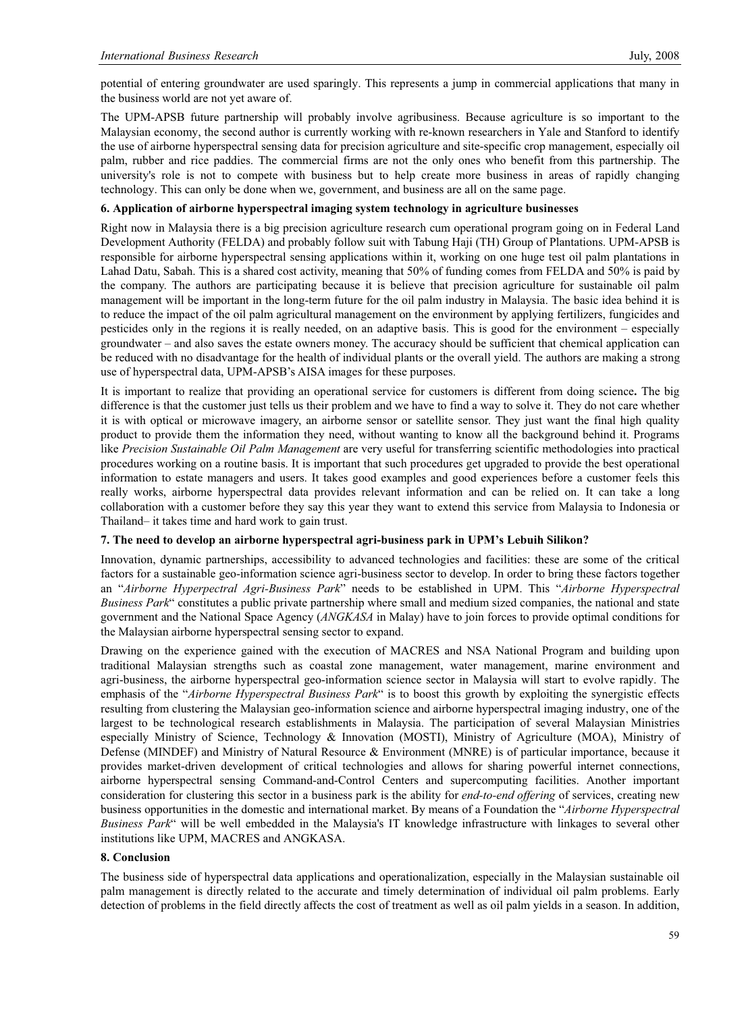potential of entering groundwater are used sparingly. This represents a jump in commercial applications that many in the business world are not yet aware of.

The UPM-APSB future partnership will probably involve agribusiness. Because agriculture is so important to the Malaysian economy, the second author is currently working with re-known researchers in Yale and Stanford to identify the use of airborne hyperspectral sensing data for precision agriculture and site-specific crop management, especially oil palm, rubber and rice paddies. The commercial firms are not the only ones who benefit from this partnership. The university's role is not to compete with business but to help create more business in areas of rapidly changing technology. This can only be done when we, government, and business are all on the same page.

#### **6. Application of airborne hyperspectral imaging system technology in agriculture businesses**

Right now in Malaysia there is a big precision agriculture research cum operational program going on in Federal Land Development Authority (FELDA) and probably follow suit with Tabung Haji (TH) Group of Plantations. UPM-APSB is responsible for airborne hyperspectral sensing applications within it, working on one huge test oil palm plantations in Lahad Datu, Sabah. This is a shared cost activity, meaning that 50% of funding comes from FELDA and 50% is paid by the company. The authors are participating because it is believe that precision agriculture for sustainable oil palm management will be important in the long-term future for the oil palm industry in Malaysia. The basic idea behind it is to reduce the impact of the oil palm agricultural management on the environment by applying fertilizers, fungicides and pesticides only in the regions it is really needed, on an adaptive basis. This is good for the environment – especially groundwater – and also saves the estate owners money. The accuracy should be sufficient that chemical application can be reduced with no disadvantage for the health of individual plants or the overall yield. The authors are making a strong use of hyperspectral data, UPM-APSB's AISA images for these purposes.

It is important to realize that providing an operational service for customers is different from doing science**.** The big difference is that the customer just tells us their problem and we have to find a way to solve it. They do not care whether it is with optical or microwave imagery, an airborne sensor or satellite sensor. They just want the final high quality product to provide them the information they need, without wanting to know all the background behind it. Programs like *Precision Sustainable Oil Palm Management* are very useful for transferring scientific methodologies into practical procedures working on a routine basis. It is important that such procedures get upgraded to provide the best operational information to estate managers and users. It takes good examples and good experiences before a customer feels this really works, airborne hyperspectral data provides relevant information and can be relied on. It can take a long collaboration with a customer before they say this year they want to extend this service from Malaysia to Indonesia or Thailand– it takes time and hard work to gain trust.

#### **7. The need to develop an airborne hyperspectral agri-business park in UPM's Lebuih Silikon?**

Innovation, dynamic partnerships, accessibility to advanced technologies and facilities: these are some of the critical factors for a sustainable geo-information science agri-business sector to develop. In order to bring these factors together an "*Airborne Hyperpectral Agri-Business Park*" needs to be established in UPM. This "*Airborne Hyperspectral Business Park*" constitutes a public private partnership where small and medium sized companies, the national and state government and the National Space Agency (*ANGKASA* in Malay) have to join forces to provide optimal conditions for the Malaysian airborne hyperspectral sensing sector to expand.

Drawing on the experience gained with the execution of MACRES and NSA National Program and building upon traditional Malaysian strengths such as coastal zone management, water management, marine environment and agri-business, the airborne hyperspectral geo-information science sector in Malaysia will start to evolve rapidly. The emphasis of the "*Airborne Hyperspectral Business Park*" is to boost this growth by exploiting the synergistic effects resulting from clustering the Malaysian geo-information science and airborne hyperspectral imaging industry, one of the largest to be technological research establishments in Malaysia. The participation of several Malaysian Ministries especially Ministry of Science, Technology & Innovation (MOSTI), Ministry of Agriculture (MOA), Ministry of Defense (MINDEF) and Ministry of Natural Resource & Environment (MNRE) is of particular importance, because it provides market-driven development of critical technologies and allows for sharing powerful internet connections, airborne hyperspectral sensing Command-and-Control Centers and supercomputing facilities. Another important consideration for clustering this sector in a business park is the ability for *end-to-end offering* of services, creating new business opportunities in the domestic and international market. By means of a Foundation the "*Airborne Hyperspectral Business Park*" will be well embedded in the Malaysia's IT knowledge infrastructure with linkages to several other institutions like UPM, MACRES and ANGKASA.

#### **8. Conclusion**

The business side of hyperspectral data applications and operationalization, especially in the Malaysian sustainable oil palm management is directly related to the accurate and timely determination of individual oil palm problems. Early detection of problems in the field directly affects the cost of treatment as well as oil palm yields in a season. In addition,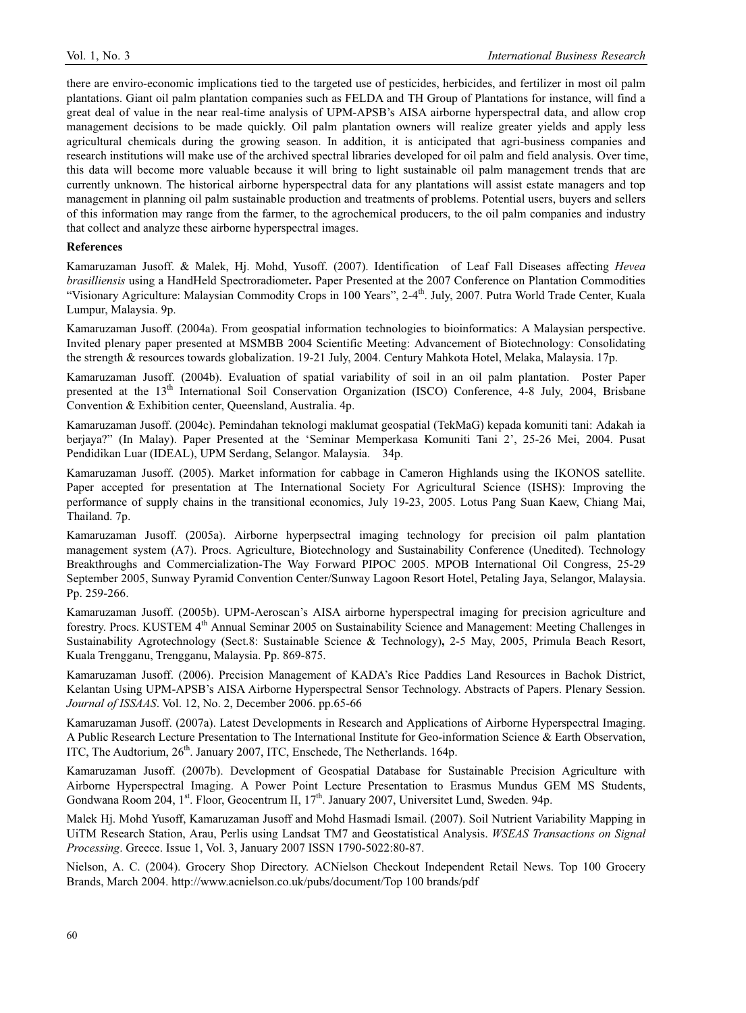there are enviro-economic implications tied to the targeted use of pesticides, herbicides, and fertilizer in most oil palm plantations. Giant oil palm plantation companies such as FELDA and TH Group of Plantations for instance, will find a great deal of value in the near real-time analysis of UPM-APSB's AISA airborne hyperspectral data, and allow crop management decisions to be made quickly. Oil palm plantation owners will realize greater yields and apply less agricultural chemicals during the growing season. In addition, it is anticipated that agri-business companies and research institutions will make use of the archived spectral libraries developed for oil palm and field analysis. Over time, this data will become more valuable because it will bring to light sustainable oil palm management trends that are currently unknown. The historical airborne hyperspectral data for any plantations will assist estate managers and top management in planning oil palm sustainable production and treatments of problems. Potential users, buyers and sellers of this information may range from the farmer, to the agrochemical producers, to the oil palm companies and industry that collect and analyze these airborne hyperspectral images.

#### **References**

Kamaruzaman Jusoff. & Malek, Hj. Mohd, Yusoff. (2007). Identification of Leaf Fall Diseases affecting *Hevea brasilliensis* using a HandHeld Spectroradiometer**.** Paper Presented at the 2007 Conference on Plantation Commodities "Visionary Agriculture: Malaysian Commodity Crops in 100 Years", 2-4<sup>th</sup>. July, 2007. Putra World Trade Center, Kuala Lumpur, Malaysia. 9p.

Kamaruzaman Jusoff. (2004a). From geospatial information technologies to bioinformatics: A Malaysian perspective. Invited plenary paper presented at MSMBB 2004 Scientific Meeting: Advancement of Biotechnology: Consolidating the strength & resources towards globalization. 19-21 July, 2004. Century Mahkota Hotel, Melaka, Malaysia. 17p.

Kamaruzaman Jusoff. (2004b). Evaluation of spatial variability of soil in an oil palm plantation. Poster Paper presented at the 13<sup>th</sup> International Soil Conservation Organization (ISCO) Conference, 4-8 July, 2004, Brisbane Convention & Exhibition center, Queensland, Australia. 4p.

Kamaruzaman Jusoff. (2004c). Pemindahan teknologi maklumat geospatial (TekMaG) kepada komuniti tani: Adakah ia berjaya?" (In Malay). Paper Presented at the 'Seminar Memperkasa Komuniti Tani 2', 25-26 Mei, 2004. Pusat Pendidikan Luar (IDEAL), UPM Serdang, Selangor. Malaysia. 34p.

Kamaruzaman Jusoff. (2005). Market information for cabbage in Cameron Highlands using the IKONOS satellite. Paper accepted for presentation at The International Society For Agricultural Science (ISHS): Improving the performance of supply chains in the transitional economics, July 19-23, 2005. Lotus Pang Suan Kaew, Chiang Mai, Thailand. 7p.

Kamaruzaman Jusoff. (2005a). Airborne hyperpsectral imaging technology for precision oil palm plantation management system (A7). Procs. Agriculture, Biotechnology and Sustainability Conference (Unedited). Technology Breakthroughs and Commercialization-The Way Forward PIPOC 2005. MPOB International Oil Congress, 25-29 September 2005, Sunway Pyramid Convention Center/Sunway Lagoon Resort Hotel, Petaling Jaya, Selangor, Malaysia. Pp. 259-266.

Kamaruzaman Jusoff. (2005b). UPM-Aeroscan's AISA airborne hyperspectral imaging for precision agriculture and forestry. Procs. KUSTEM 4<sup>th</sup> Annual Seminar 2005 on Sustainability Science and Management: Meeting Challenges in Sustainability Agrotechnology (Sect.8: Sustainable Science & Technology)**,** 2-5 May, 2005, Primula Beach Resort, Kuala Trengganu, Trengganu, Malaysia. Pp. 869-875.

Kamaruzaman Jusoff. (2006). Precision Management of KADA's Rice Paddies Land Resources in Bachok District, Kelantan Using UPM-APSB's AISA Airborne Hyperspectral Sensor Technology. Abstracts of Papers. Plenary Session. *Journal of ISSAAS*. Vol. 12, No. 2, December 2006. pp.65-66

Kamaruzaman Jusoff. (2007a). Latest Developments in Research and Applications of Airborne Hyperspectral Imaging. A Public Research Lecture Presentation to The International Institute for Geo-information Science & Earth Observation, ITC, The Audtorium,  $26<sup>th</sup>$ . January 2007, ITC, Enschede, The Netherlands. 164p.

Kamaruzaman Jusoff. (2007b). Development of Geospatial Database for Sustainable Precision Agriculture with Airborne Hyperspectral Imaging. A Power Point Lecture Presentation to Erasmus Mundus GEM MS Students, Gondwana Room 204,  $1^{st}$ . Floor, Geocentrum II,  $17^{th}$ . January 2007, Universitet Lund, Sweden. 94p.

Malek Hj. Mohd Yusoff, Kamaruzaman Jusoff and Mohd Hasmadi Ismail. (2007). Soil Nutrient Variability Mapping in UiTM Research Station, Arau, Perlis using Landsat TM7 and Geostatistical Analysis. *WSEAS Transactions on Signal Processing*. Greece. Issue 1, Vol. 3, January 2007 ISSN 1790-5022:80-87.

Nielson, A. C. (2004). Grocery Shop Directory. ACNielson Checkout Independent Retail News. Top 100 Grocery Brands, March 2004. http://www.acnielson.co.uk/pubs/document/Top 100 brands/pdf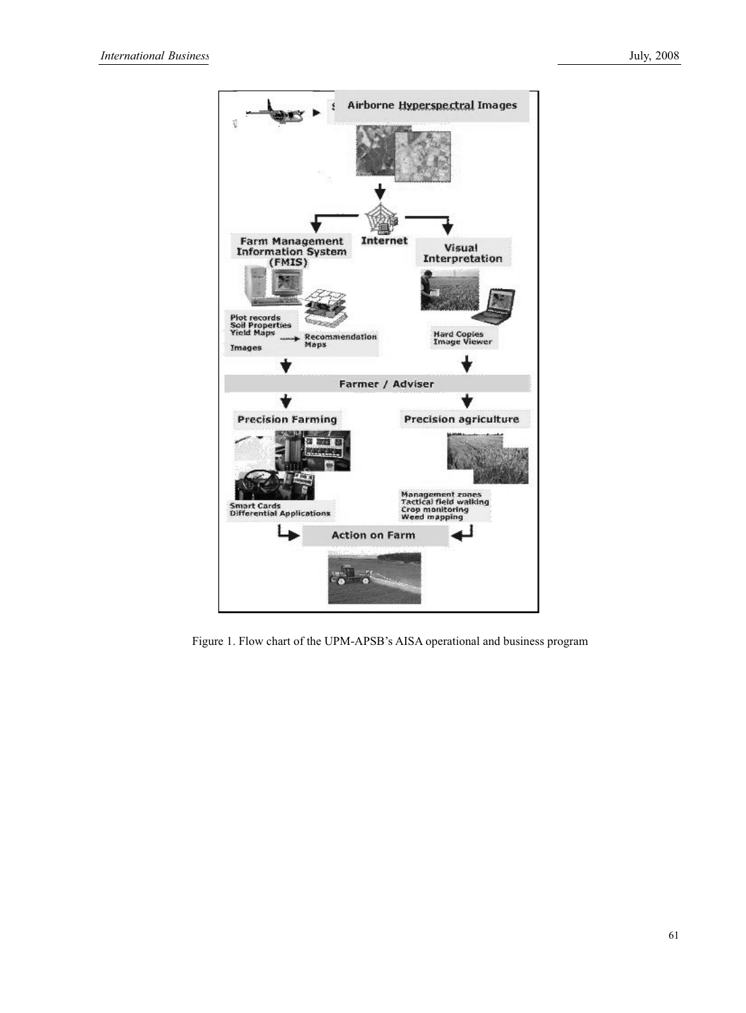

Figure 1. Flow chart of the UPM-APSB's AISA operational and business program